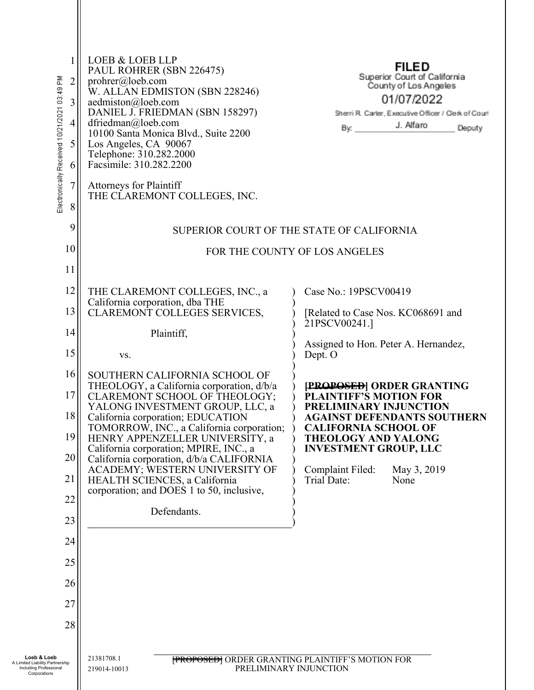| 1<br>Electronically Received 10/21/2021 03:49 PM<br>$\overline{2}$<br>3<br>$\overline{4}$<br>5<br>6<br>7<br>8 | <b>LOEB &amp; LOEB LLP</b><br>PAUL ROHRER (SBN 226475)<br>prohrer@loeb.com<br>W. ALLAN EDMISTON (SBN 228246)<br>aedmiston@loeb.com<br>DANIEL J. FRIEDMAN (SBN 158297)<br>dfriedman@loeb.com<br>10100 Santa Monica Blvd., Suite 2200<br>Los Angeles, CA 90067<br>Telephone: 310.282.2000<br>Facsimile: 310.282.2200<br><b>Attorneys for Plaintiff</b><br>THE CLAREMONT COLLEGES, INC. | <b>FILED</b><br>Superior Court of California<br>County of Los Angeles<br>01/07/2022<br>Sherri R. Carter, Executive Officer / Clerk of Court<br>J. Alfaro<br>By:<br>Deputy |  |
|---------------------------------------------------------------------------------------------------------------|--------------------------------------------------------------------------------------------------------------------------------------------------------------------------------------------------------------------------------------------------------------------------------------------------------------------------------------------------------------------------------------|---------------------------------------------------------------------------------------------------------------------------------------------------------------------------|--|
| 9                                                                                                             | SUPERIOR COURT OF THE STATE OF CALIFORNIA                                                                                                                                                                                                                                                                                                                                            |                                                                                                                                                                           |  |
| 10                                                                                                            | FOR THE COUNTY OF LOS ANGELES                                                                                                                                                                                                                                                                                                                                                        |                                                                                                                                                                           |  |
| 11                                                                                                            |                                                                                                                                                                                                                                                                                                                                                                                      |                                                                                                                                                                           |  |
| 12                                                                                                            | THE CLAREMONT COLLEGES, INC., a<br>California corporation, dba THE                                                                                                                                                                                                                                                                                                                   | Case No.: 19PSCV00419                                                                                                                                                     |  |
| 13                                                                                                            | CLAREMONT COLLEGES SERVICES,                                                                                                                                                                                                                                                                                                                                                         | [Related to Case Nos. KC068691 and<br>21PSCV00241.1                                                                                                                       |  |
| 14                                                                                                            | Plaintiff,                                                                                                                                                                                                                                                                                                                                                                           | Assigned to Hon. Peter A. Hernandez,                                                                                                                                      |  |
| 15                                                                                                            | VS.                                                                                                                                                                                                                                                                                                                                                                                  | Dept. O                                                                                                                                                                   |  |
| 16<br>17<br>18                                                                                                | SOUTHERN CALIFORNIA SCHOOL OF<br>THEOLOGY, a California corporation, d/b/a<br>CLAREMONT SCHOOL OF THEOLOGY;<br>YALONG INVESTMENT GROUP, LLC, a<br>California corporation; EDUCATION                                                                                                                                                                                                  | <b>[PROPOSED] ORDER GRANTING</b><br><b>PLAINTIFF'S MOTION FOR</b><br>PRELIMINARY INJUNCTION<br>AGAINST DEFENDANTS SOUTHERN                                                |  |
| 19                                                                                                            | TOMORROW, INC., a California corporation;<br>HENRY APPENZELLER UNIVERSITY, a                                                                                                                                                                                                                                                                                                         | <b>CALIFORNIA SCHOOL OF</b><br><b>THEOLOGY AND YALONG</b>                                                                                                                 |  |
| 20                                                                                                            | California corporation; MPIRE, INC., a<br>California corporation, d/b/a CALIFORNIA                                                                                                                                                                                                                                                                                                   | <b>INVESTMENT GROUP, LLC</b>                                                                                                                                              |  |
| 21                                                                                                            | ACADEMY; WESTERN UNIVERSITY OF<br>HEALTH SCIENCES, a California<br>corporation; and DOES 1 to 50, inclusive,                                                                                                                                                                                                                                                                         | Complaint Filed:<br>May 3, 2019<br>Trial Date:<br>None                                                                                                                    |  |
| 22                                                                                                            | Defendants.                                                                                                                                                                                                                                                                                                                                                                          |                                                                                                                                                                           |  |
| 23                                                                                                            |                                                                                                                                                                                                                                                                                                                                                                                      |                                                                                                                                                                           |  |
| 24                                                                                                            |                                                                                                                                                                                                                                                                                                                                                                                      |                                                                                                                                                                           |  |
| 25                                                                                                            |                                                                                                                                                                                                                                                                                                                                                                                      |                                                                                                                                                                           |  |
| 26                                                                                                            |                                                                                                                                                                                                                                                                                                                                                                                      |                                                                                                                                                                           |  |
| 27                                                                                                            |                                                                                                                                                                                                                                                                                                                                                                                      |                                                                                                                                                                           |  |
| 28                                                                                                            |                                                                                                                                                                                                                                                                                                                                                                                      |                                                                                                                                                                           |  |
| Loeb & Loeb<br>A Limited Liability Partnership<br>Including Professional<br>Corporations                      | 21381708.1<br>219014-10013                                                                                                                                                                                                                                                                                                                                                           | <b>FROPOSED</b> ORDER GRANTING PLAINTIFF'S MOTION FOR<br>PRELIMINARY INJUNCTION                                                                                           |  |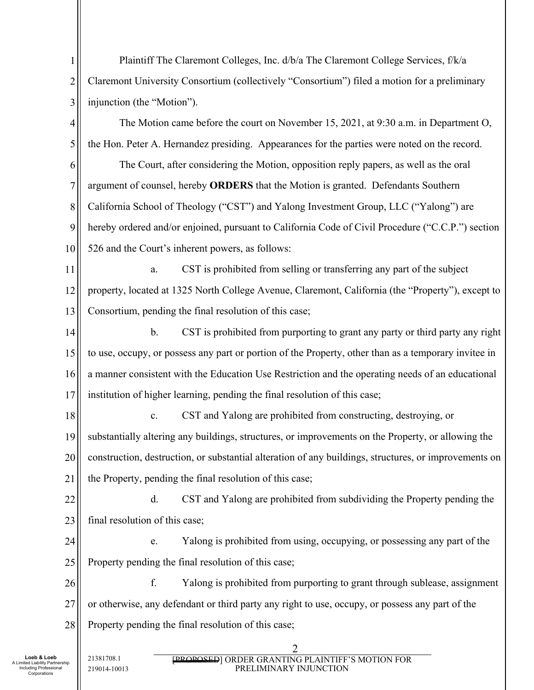1 2 3 4 5 6 7 8 9 10 11 12 13 14 15 16 17 18 19 20 21 22 23 24 25 26 27 28 21381708.1 2 Plaintiff The Claremont Colleges, Inc. d/b/a The Claremont College Services, f/k/a Claremont University Consortium (collectively "Consortium") filed a motion for a preliminary injunction (the "Motion"). The Motion came before the court on November 15, 2021, at 9:30 a.m. in Department O, the Hon. Peter A. Hernandez presiding. Appearances for the parties were noted on the record. The Court, after considering the Motion, opposition reply papers, as well as the oral argument of counsel, hereby **ORDERS** that the Motion is granted. Defendants Southern California School of Theology ("CST") and Yalong Investment Group, LLC ("Yalong") are hereby ordered and/or enjoined, pursuant to California Code of Civil Procedure ("C.C.P.") section 526 and the Court's inherent powers, as follows: a. CST is prohibited from selling or transferring any part of the subject property, located at 1325 North College Avenue, Claremont, California (the "Property"), except to Consortium, pending the final resolution of this case; b. CST is prohibited from purporting to grant any party or third party any right to use, occupy, or possess any part or portion of the Property, other than as a temporary invitee in a manner consistent with the Education Use Restriction and the operating needs of an educational institution of higher learning, pending the final resolution of this case; c. CST and Yalong are prohibited from constructing, destroying, or substantially altering any buildings, structures, or improvements on the Property, or allowing the construction, destruction, or substantial alteration of any buildings, structures, or improvements on the Property, pending the final resolution of this case; d. CST and Yalong are prohibited from subdividing the Property pending the final resolution of this case; e. Yalong is prohibited from using, occupying, or possessing any part of the Property pending the final resolution of this case; f. Yalong is prohibited from purporting to grant through sublease, assignment or otherwise, any defendant or third party any right to use, occupy, or possess any part of the Property pending the final resolution of this case;

**Loeb & Loeb**  Limited Liability Partnership Including Professional Corporations

219014-10013

[PROPOSED] ORDER GRANTING PLAINTIFF'S MOTION FOR PRELIMINARY INJUNCTION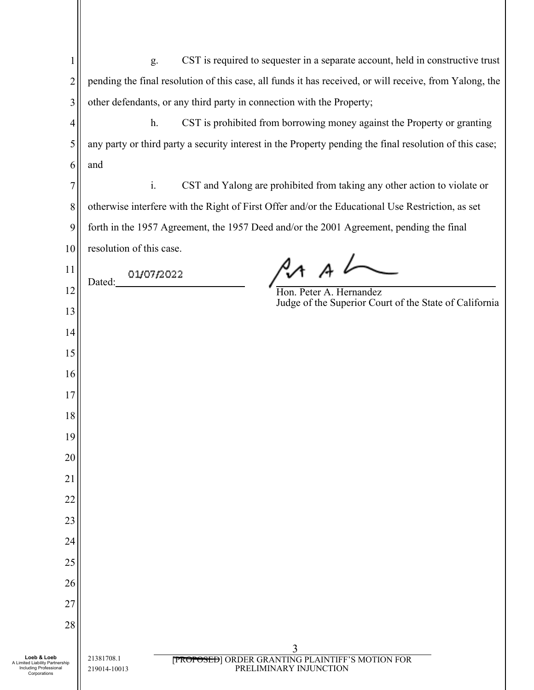| 1                                                                                        | CST is required to sequester in a separate account, held in constructive trust<br>g.                                 |  |
|------------------------------------------------------------------------------------------|----------------------------------------------------------------------------------------------------------------------|--|
| $\overline{2}$                                                                           | pending the final resolution of this case, all funds it has received, or will receive, from Yalong, the              |  |
| 3                                                                                        | other defendants, or any third party in connection with the Property;                                                |  |
| $\overline{4}$                                                                           | h.<br>CST is prohibited from borrowing money against the Property or granting                                        |  |
| 5                                                                                        | any party or third party a security interest in the Property pending the final resolution of this case;              |  |
| 6                                                                                        | and                                                                                                                  |  |
| 7                                                                                        | $\mathbf{i}$ .<br>CST and Yalong are prohibited from taking any other action to violate or                           |  |
| 8                                                                                        | otherwise interfere with the Right of First Offer and/or the Educational Use Restriction, as set                     |  |
| 9                                                                                        | forth in the 1957 Agreement, the 1957 Deed and/or the 2001 Agreement, pending the final                              |  |
| 10                                                                                       | resolution of this case.                                                                                             |  |
| 11                                                                                       | 01/07/2022                                                                                                           |  |
| 12                                                                                       | Dated:<br>Hon. Peter A. Hernandez                                                                                    |  |
| 13                                                                                       | Judge of the Superior Court of the State of California                                                               |  |
| 14                                                                                       |                                                                                                                      |  |
| 15                                                                                       |                                                                                                                      |  |
| 16                                                                                       |                                                                                                                      |  |
| 17                                                                                       |                                                                                                                      |  |
| 18                                                                                       |                                                                                                                      |  |
| 19                                                                                       |                                                                                                                      |  |
| 20                                                                                       |                                                                                                                      |  |
| 21                                                                                       |                                                                                                                      |  |
| 22                                                                                       |                                                                                                                      |  |
| 23                                                                                       |                                                                                                                      |  |
| 24                                                                                       |                                                                                                                      |  |
| 25                                                                                       |                                                                                                                      |  |
| 26                                                                                       |                                                                                                                      |  |
| 27                                                                                       |                                                                                                                      |  |
| 28                                                                                       |                                                                                                                      |  |
| Loeb & Loeb<br>A Limited Liability Partnership<br>Including Professional<br>Corporations | 3<br>21381708.1<br><b>[PROPOSED] ORDER GRANTING PLAINTIFF'S MOTION FOR</b><br>PRELIMINARY INJUNCTION<br>219014-10013 |  |
|                                                                                          |                                                                                                                      |  |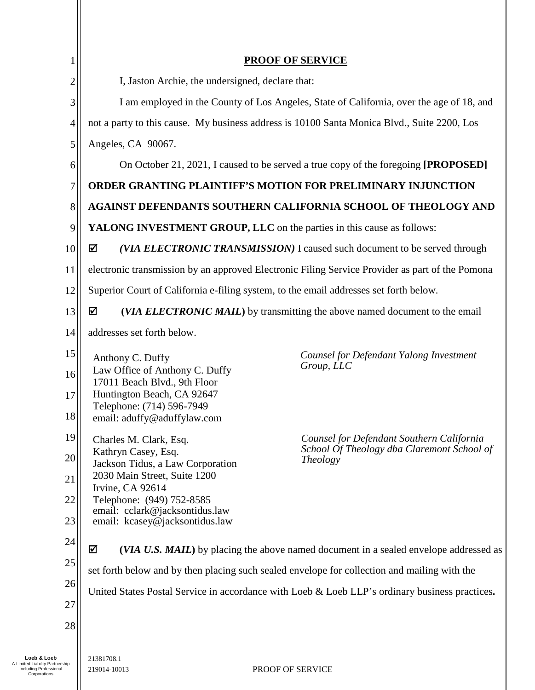| 1              | <b>PROOF OF SERVICE</b>                                                                                                                  |  |  |  |  |
|----------------|------------------------------------------------------------------------------------------------------------------------------------------|--|--|--|--|
| $\overline{c}$ | I, Jaston Archie, the undersigned, declare that:                                                                                         |  |  |  |  |
| 3              | I am employed in the County of Los Angeles, State of California, over the age of 18, and                                                 |  |  |  |  |
| $\overline{4}$ | not a party to this cause. My business address is 10100 Santa Monica Blvd., Suite 2200, Los                                              |  |  |  |  |
| 5              |                                                                                                                                          |  |  |  |  |
| 6              | Angeles, CA 90067.<br>On October 21, 2021, I caused to be served a true copy of the foregoing [PROPOSED]                                 |  |  |  |  |
| 7              | <b>ORDER GRANTING PLAINTIFF'S MOTION FOR PRELIMINARY INJUNCTION</b>                                                                      |  |  |  |  |
| $8\,$          |                                                                                                                                          |  |  |  |  |
| 9              | AGAINST DEFENDANTS SOUTHERN CALIFORNIA SCHOOL OF THEOLOGY AND                                                                            |  |  |  |  |
| 10             | YALONG INVESTMENT GROUP, LLC on the parties in this cause as follows:<br>☑                                                               |  |  |  |  |
|                | (VIA ELECTRONIC TRANSMISSION) I caused such document to be served through                                                                |  |  |  |  |
| 11             | electronic transmission by an approved Electronic Filing Service Provider as part of the Pomona                                          |  |  |  |  |
| 12             | Superior Court of California e-filing system, to the email addresses set forth below.                                                    |  |  |  |  |
| 13             | ☑<br>(VIA ELECTRONIC MAIL) by transmitting the above named document to the email                                                         |  |  |  |  |
| 14             | addresses set forth below.                                                                                                               |  |  |  |  |
| 15             | Counsel for Defendant Yalong Investment<br>Anthony C. Duffy<br>Group, LLC<br>Law Office of Anthony C. Duffy                              |  |  |  |  |
| 16             | 17011 Beach Blvd., 9th Floor                                                                                                             |  |  |  |  |
| 17             | Huntington Beach, CA 92647<br>Telephone: (714) 596-7949                                                                                  |  |  |  |  |
| 18             | email: aduffy@aduffylaw.com                                                                                                              |  |  |  |  |
| 19             | Counsel for Defendant Southern California<br>Charles M. Clark, Esq.<br>School Of Theology dba Claremont School of<br>Kathryn Casey, Esq. |  |  |  |  |
| 20             | <i>Theology</i><br>Jackson Tidus, a Law Corporation                                                                                      |  |  |  |  |
| 21             | 2030 Main Street, Suite 1200<br>Irvine, CA 92614                                                                                         |  |  |  |  |
| 22             | Telephone: (949) 752-8585<br>email: cclark@jacksontidus.law                                                                              |  |  |  |  |
| 23             | email: kcasey@jacksontidus.law                                                                                                           |  |  |  |  |
| 24             | ☑<br>(VIA U.S. MAIL) by placing the above named document in a sealed envelope addressed as                                               |  |  |  |  |
| 25             | set forth below and by then placing such sealed envelope for collection and mailing with the                                             |  |  |  |  |
| 26             | United States Postal Service in accordance with Loeb & Loeb LLP's ordinary business practices.                                           |  |  |  |  |
| 27             |                                                                                                                                          |  |  |  |  |
| 28             |                                                                                                                                          |  |  |  |  |
|                | 21381708.1                                                                                                                               |  |  |  |  |
| ership         | DDOOE OF CEDVICE                                                                                                                         |  |  |  |  |